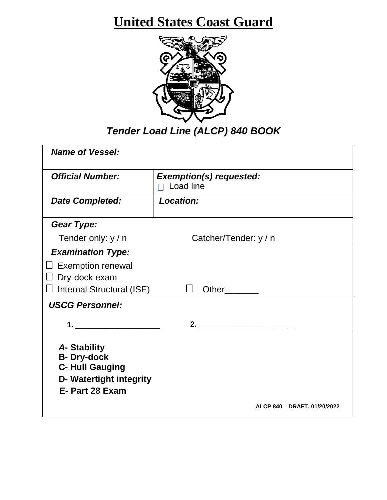## **United States Coast Guard**



## *Tender Load Line (ALCP) 840 BOOK*

| <b>Name of Vessel:</b>                                                                                          |                                                    |
|-----------------------------------------------------------------------------------------------------------------|----------------------------------------------------|
| <b>Official Number:</b>                                                                                         | <b>Exemption(s) requested:</b><br>$\Box$ Load line |
| <b>Date Completed:</b>                                                                                          | <b>Location:</b>                                   |
| <b>Gear Type:</b>                                                                                               |                                                    |
| Tender only: y / n                                                                                              | Catcher/Tender: y / n                              |
| <b>Examination Type:</b>                                                                                        |                                                    |
| <b>Exemption renewal</b>                                                                                        |                                                    |
| Dry-dock exam<br>Internal Structural (ISE)                                                                      | Other________                                      |
| <b>USCG Personnel:</b>                                                                                          |                                                    |
|                                                                                                                 |                                                    |
| <b>A-Stability</b><br><b>B-Dry-dock</b><br><b>C- Hull Gauging</b><br>D- Watertight integrity<br>E- Part 28 Exam | ALCP 840 DRAFT, 01/20/2022                         |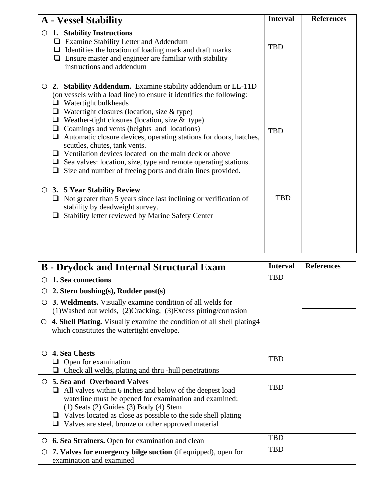| <b>A</b> - Vessel Stability                                                                                                                                                                                                                                                                                                                                                                                                                                                                                                                                                                                                                                               | <b>Interval</b> | <b>References</b> |
|---------------------------------------------------------------------------------------------------------------------------------------------------------------------------------------------------------------------------------------------------------------------------------------------------------------------------------------------------------------------------------------------------------------------------------------------------------------------------------------------------------------------------------------------------------------------------------------------------------------------------------------------------------------------------|-----------------|-------------------|
| $\circ$ 1. Stability Instructions<br>$\Box$ Examine Stability Letter and Addendum<br>$\Box$ Identifies the location of loading mark and draft marks<br>$\Box$ Ensure master and engineer are familiar with stability<br>instructions and addendum                                                                                                                                                                                                                                                                                                                                                                                                                         | <b>TBD</b>      |                   |
| 2. Stability Addendum. Examine stability addendum or LL-11D<br>$\circ$<br>(on vessels with a load line) to ensure it identifies the following:<br>Watertight bulkheads<br>$\Box$ Watertight closures (location, size & type)<br>$\Box$ Weather-tight closures (location, size & type)<br>$\Box$ Coamings and vents (heights and locations)<br>$\Box$ Automatic closure devices, operating stations for doors, hatches,<br>scuttles, chutes, tank vents.<br>$\Box$ Ventilation devices located on the main deck or above<br>$\Box$ Sea valves: location, size, type and remote operating stations.<br>Size and number of freeing ports and drain lines provided.<br>$\Box$ | <b>TBD</b>      |                   |
| 3. 5 Year Stability Review<br>$\circ$<br>$\Box$ Not greater than 5 years since last inclining or verification of<br>stability by deadweight survey.<br>Stability letter reviewed by Marine Safety Center                                                                                                                                                                                                                                                                                                                                                                                                                                                                  | <b>TBD</b>      |                   |

| <b>B</b> - Drydock and Internal Structural Exam                                                                                                                                                                                                                                                                                           | <b>Interval</b> | <b>References</b> |
|-------------------------------------------------------------------------------------------------------------------------------------------------------------------------------------------------------------------------------------------------------------------------------------------------------------------------------------------|-----------------|-------------------|
| 1. Sea connections                                                                                                                                                                                                                                                                                                                        | <b>TBD</b>      |                   |
| 2. Stern bushing(s), Rudder post(s)<br>O                                                                                                                                                                                                                                                                                                  |                 |                   |
| <b>3. Weldments.</b> Visually examine condition of all welds for<br>O<br>(1) Washed out welds, (2) Cracking, (3) Excess pitting/corrosion                                                                                                                                                                                                 |                 |                   |
| $\circ$ 4. Shell Plating. Visually examine the condition of all shell plating 4<br>which constitutes the watertight envelope.                                                                                                                                                                                                             |                 |                   |
| <b>4. Sea Chests</b><br>O<br>$\Box$ Open for examination<br>Check all welds, plating and thru -hull penetrations                                                                                                                                                                                                                          | <b>TBD</b>      |                   |
| ○ 5. Sea and Overboard Valves<br>$\Box$ All valves within 6 inches and below of the deepest load<br>waterline must be opened for examination and examined:<br>$(1)$ Seats $(2)$ Guides $(3)$ Body $(4)$ Stem<br>Valves located as close as possible to the side shell plating<br>Valves are steel, bronze or other approved material<br>⊔ | <b>TBD</b>      |                   |
| <b>6. Sea Strainers.</b> Open for examination and clean<br>O                                                                                                                                                                                                                                                                              | <b>TBD</b>      |                   |
| $\circ$ 7. Valves for emergency bilge suction (if equipped), open for<br>examination and examined                                                                                                                                                                                                                                         | <b>TBD</b>      |                   |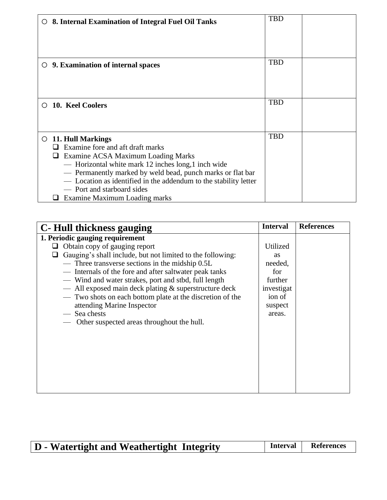| $\circ$ 8. Internal Examination of Integral Fuel Oil Tanks       | <b>TBD</b> |  |
|------------------------------------------------------------------|------------|--|
|                                                                  | <b>TBD</b> |  |
| $\circ$ 9. Examination of internal spaces                        |            |  |
|                                                                  |            |  |
| 10. Keel Coolers<br>$\bigcirc$                                   | <b>TBD</b> |  |
|                                                                  |            |  |
| $\circ$ 11. Hull Markings                                        | <b>TBD</b> |  |
| $\Box$ Examine fore and aft draft marks                          |            |  |
| Examine ACSA Maximum Loading Marks<br>⊔                          |            |  |
| — Horizontal white mark 12 inches long, 1 inch wide              |            |  |
| - Permanently marked by weld bead, punch marks or flat bar       |            |  |
| - Location as identified in the addendum to the stability letter |            |  |
| - Port and starboard sides                                       |            |  |
| Examine Maximum Loading marks                                    |            |  |

| C- Hull thickness gauging                                                                                                                                                                                                                                                                                                                                                                                                                                                                                             | <b>Interval</b>                                                                                 | <b>References</b> |
|-----------------------------------------------------------------------------------------------------------------------------------------------------------------------------------------------------------------------------------------------------------------------------------------------------------------------------------------------------------------------------------------------------------------------------------------------------------------------------------------------------------------------|-------------------------------------------------------------------------------------------------|-------------------|
| 1. Periodic gauging requirement<br>Obtain copy of gauging report<br>Gauging's shall include, but not limited to the following:<br>— Three transverse sections in the midship 0.5L<br>— Internals of the fore and after saltwater peak tanks<br>- Wind and water strakes, port and stbd, full length<br>- All exposed main deck plating & superstructure deck<br>- Two shots on each bottom plate at the discretion of the<br>attending Marine Inspector<br>— Sea chests<br>Other suspected areas throughout the hull. | Utilized<br><b>as</b><br>needed,<br>for<br>further<br>investigat<br>ion of<br>suspect<br>areas. |                   |

|  | D - Watertight and Weathertight Integrity | Interval | References |
|--|-------------------------------------------|----------|------------|
|--|-------------------------------------------|----------|------------|